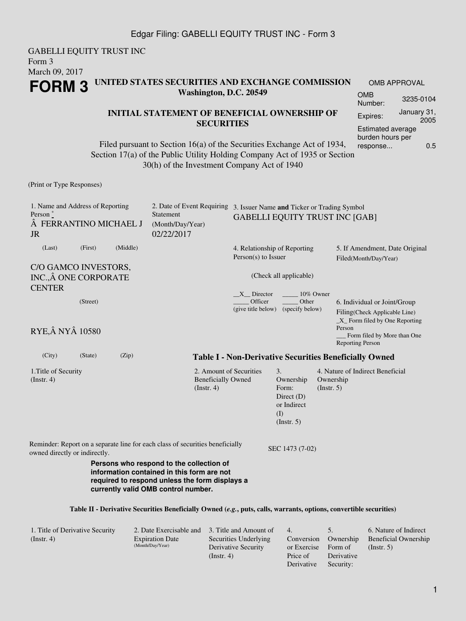## Edgar Filing: GABELLI EQUITY TRUST INC - Form 3

GABELLI EQUITY TRUST INC Form 3 March 09, 2017 **FORM 3 UNITED STATES SECURITIES AND EXCHANGE COMMISSION Washington, D.C. 20549** OMB APPROVAL OMB Number: 3235-0104

### **INITIAL STATEMENT OF BENEFICIAL OWNERSHIP OF SECURITIES**

Filed pursuant to Section 16(a) of the Securities Exchange Act of 1934, Section 17(a) of the Public Utility Holding Company Act of 1935 or Section 30(h) of the Investment Company Act of 1940

#### (Print or Type Responses)

1. Name and Address of Reporting Person  $*$  FERRANTINO MICHAEL J JR 2. Date of Event Requiring 3. Issuer Name **and** Ticker or Trading Symbol Statement (Month/Day/Year) 02/22/2017 GABELLI EQUITY TRUST INC [GAB] (Last) (First) (Middle) C/O GAMCO INVESTORS, INC., Â ONE CORPORATE **CENTER** 4. Relationship of Reporting Person(s) to Issuer (Check all applicable)  $X$  Director  $\qquad \qquad$  10% Owner \_\_\_\_\_ Officer (give title below) (specify below) \_\_\_\_\_ Other 5. If Amendment, Date Original Filed(Month/Day/Year) (Street) **RYE, Â NY Â 10580** 6. Individual or Joint/Group Filing(Check Applicable Line) \_X\_ Form filed by One Reporting Person \_\_\_ Form filed by More than One Reporting Person (City) (State) (Zip) **Table I - Non-Derivative Securities Beneficially Owned** 1.Title of Security (Instr. 4) 2. Amount of Securities Beneficially Owned (Instr. 4) 3. Ownership Form: Direct (D) or Indirect (I) (Instr. 5) 4. Nature of Indirect Beneficial Ownership (Instr. 5) Reminder: Report on a separate line for each class of securities beneficially owned directly or indirectly.<br>SEC 1473 (7-02) **Persons who respond to the collection of information contained in this form are not required to respond unless the form displays a currently valid OMB control number.**

#### **Table II - Derivative Securities Beneficially Owned (***e.g.***, puts, calls, warrants, options, convertible securities)**

| 1. Title of Derivative Security |                        | 2. Date Exercisable and 3. Title and Amount of | $-4.$                | $\mathcal{D}$ . | 6. Nature of Indirect       |
|---------------------------------|------------------------|------------------------------------------------|----------------------|-----------------|-----------------------------|
| (Insert. 4)                     | <b>Expiration Date</b> | Securities Underlying                          | Conversion Ownership |                 | <b>Beneficial Ownership</b> |
|                                 | (Month/Day/Year)       | Derivative Security                            | or Exercise          | Form of         | $($ Instr. 5 $)$            |
|                                 |                        | $($ Instr. 4 $)$                               | Price of             | Derivative      |                             |
|                                 |                        |                                                | Derivative           | Security:       |                             |

Expires: January 31,

Estimated average burden hours per response... 0.5

2005